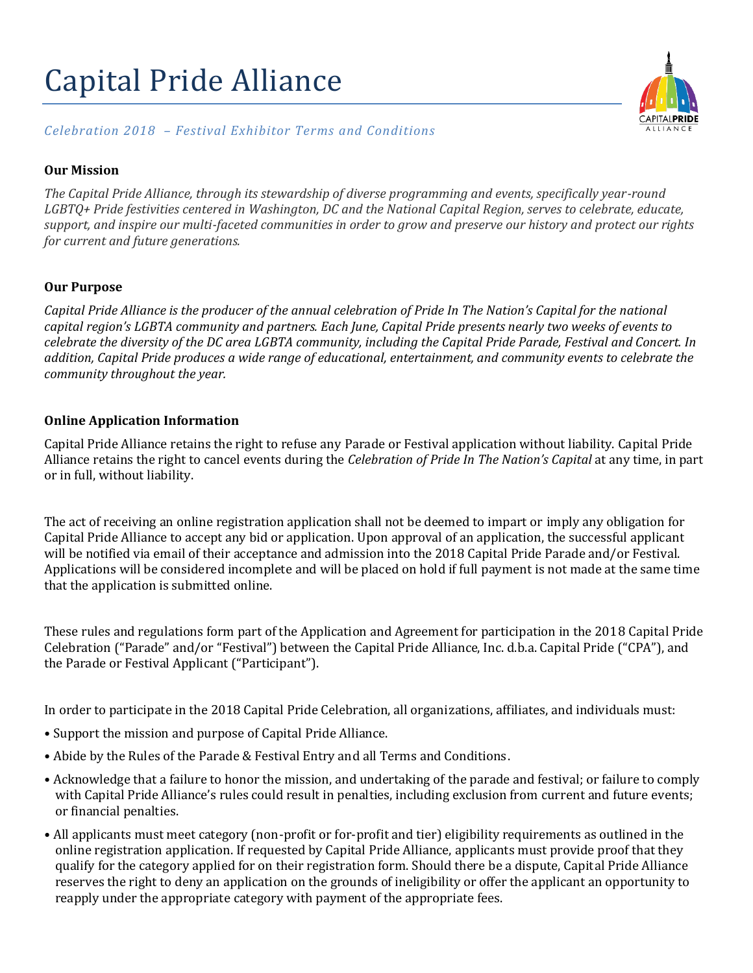# Capital Pride Alliance



## *Celebration 2018 – Festival Exhibitor Terms and Conditions*

#### **Our Mission**

*The Capital Pride Alliance, through its stewardship of diverse programming and events, specifically year-round*  LGBTQ+ Pride festivities centered in Washington, DC and the National Capital Region, serves to celebrate, educate, *support, and inspire our multi-faceted communities in order to grow and preserve our history and protect our rights for current and future generations.* 

#### **Our Purpose**

*Capital Pride Alliance is the producer of the annual celebration of Pride In The Nation's Capital for the national capital region's LGBTA community and partners. Each June, Capital Pride presents nearly two weeks of events to celebrate the diversity of the DC area LGBTA community, including the Capital Pride Parade, Festival and Concert. In addition, Capital Pride produces a wide range of educational, entertainment, and community events to celebrate the community throughout the year.*

#### **Online Application Information**

Capital Pride Alliance retains the right to refuse any Parade or Festival application without liability. Capital Pride Alliance retains the right to cancel events during the *Celebration of Pride In The Nation's Capital* at any time, in part or in full, without liability.

The act of receiving an online registration application shall not be deemed to impart or imply any obligation for Capital Pride Alliance to accept any bid or application. Upon approval of an application, the successful applicant will be notified via email of their acceptance and admission into the 2018 Capital Pride Parade and/or Festival. Applications will be considered incomplete and will be placed on hold if full payment is not made at the same time that the application is submitted online.

These rules and regulations form part of the Application and Agreement for participation in the 2018 Capital Pride Celebration ("Parade" and/or "Festival") between the Capital Pride Alliance, Inc. d.b.a. Capital Pride ("CPA"), and the Parade or Festival Applicant ("Participant").

In order to participate in the 2018 Capital Pride Celebration, all organizations, affiliates, and individuals must:

- Support the mission and purpose of Capital Pride Alliance.
- Abide by the Rules of the Parade & Festival Entry and all Terms and Conditions.
- Acknowledge that a failure to honor the mission, and undertaking of the parade and festival; or failure to comply with Capital Pride Alliance's rules could result in penalties, including exclusion from current and future events; or financial penalties.
- All applicants must meet category (non-profit or for-profit and tier) eligibility requirements as outlined in the online registration application. If requested by Capital Pride Alliance, applicants must provide proof that they qualify for the category applied for on their registration form. Should there be a dispute, Capital Pride Alliance reserves the right to deny an application on the grounds of ineligibility or offer the applicant an opportunity to reapply under the appropriate category with payment of the appropriate fees.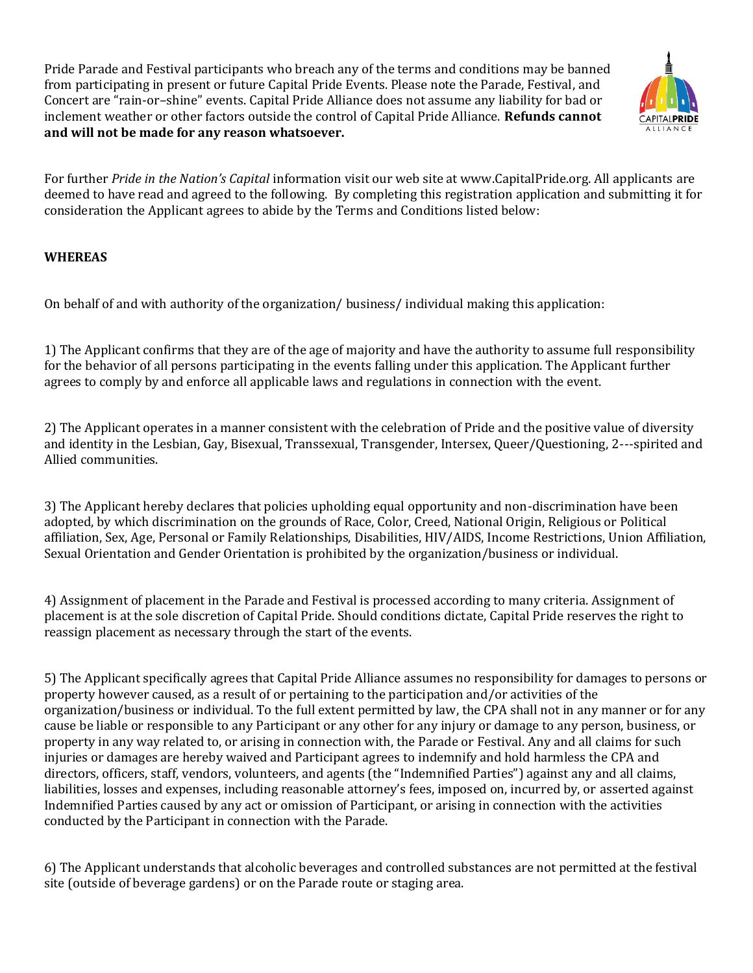Pride Parade and Festival participants who breach any of the terms and conditions may be banned from participating in present or future Capital Pride Events. Please note the Parade, Festival, and Concert are "rain-or–shine" events. Capital Pride Alliance does not assume any liability for bad or inclement weather or other factors outside the control of Capital Pride Alliance. **Refunds cannot and will not be made for any reason whatsoever.**



For further *Pride in the Nation's Capital* information visit our web site at www.CapitalPride.org. All applicants are deemed to have read and agreed to the following. By completing this registration application and submitting it for consideration the Applicant agrees to abide by the Terms and Conditions listed below:

# **WHEREAS**

On behalf of and with authority of the organization/ business/ individual making this application:

1) The Applicant confirms that they are of the age of majority and have the authority to assume full responsibility for the behavior of all persons participating in the events falling under this application. The Applicant further agrees to comply by and enforce all applicable laws and regulations in connection with the event.

2) The Applicant operates in a manner consistent with the celebration of Pride and the positive value of diversity and identity in the Lesbian, Gay, Bisexual, Transsexual, Transgender, Intersex, Queer/Questioning, 2---spirited and Allied communities.

3) The Applicant hereby declares that policies upholding equal opportunity and non-discrimination have been adopted, by which discrimination on the grounds of Race, Color, Creed, National Origin, Religious or Political affiliation, Sex, Age, Personal or Family Relationships, Disabilities, HIV/AIDS, Income Restrictions, Union Affiliation, Sexual Orientation and Gender Orientation is prohibited by the organization/business or individual.

4) Assignment of placement in the Parade and Festival is processed according to many criteria. Assignment of placement is at the sole discretion of Capital Pride. Should conditions dictate, Capital Pride reserves the right to reassign placement as necessary through the start of the events.

5) The Applicant specifically agrees that Capital Pride Alliance assumes no responsibility for damages to persons or property however caused, as a result of or pertaining to the participation and/or activities of the organization/business or individual. To the full extent permitted by law, the CPA shall not in any manner or for any cause be liable or responsible to any Participant or any other for any injury or damage to any person, business, or property in any way related to, or arising in connection with, the Parade or Festival. Any and all claims for such injuries or damages are hereby waived and Participant agrees to indemnify and hold harmless the CPA and directors, officers, staff, vendors, volunteers, and agents (the "Indemnified Parties") against any and all claims, liabilities, losses and expenses, including reasonable attorney's fees, imposed on, incurred by, or asserted against Indemnified Parties caused by any act or omission of Participant, or arising in connection with the activities conducted by the Participant in connection with the Parade.

6) The Applicant understands that alcoholic beverages and controlled substances are not permitted at the festival site (outside of beverage gardens) or on the Parade route or staging area.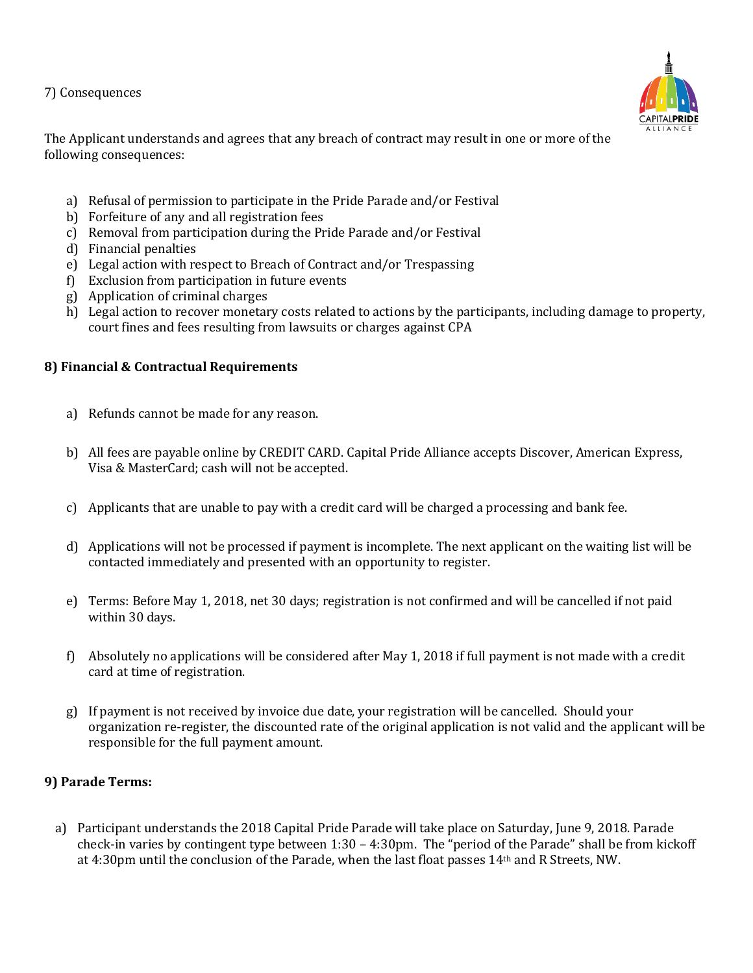7) Consequences



The Applicant understands and agrees that any breach of contract may result in one or more of the following consequences:

- a) Refusal of permission to participate in the Pride Parade and/or Festival
- b) Forfeiture of any and all registration fees
- c) Removal from participation during the Pride Parade and/or Festival
- d) Financial penalties
- e) Legal action with respect to Breach of Contract and/or Trespassing
- f) Exclusion from participation in future events
- g) Application of criminal charges
- h) Legal action to recover monetary costs related to actions by the participants, including damage to property, court fines and fees resulting from lawsuits or charges against CPA

## **8) Financial & Contractual Requirements**

- a) Refunds cannot be made for any reason.
- b) All fees are payable online by CREDIT CARD. Capital Pride Alliance accepts Discover, American Express, Visa & MasterCard; cash will not be accepted.
- c) Applicants that are unable to pay with a credit card will be charged a processing and bank fee.
- d) Applications will not be processed if payment is incomplete. The next applicant on the waiting list will be contacted immediately and presented with an opportunity to register.
- e) Terms: Before May 1, 2018, net 30 days; registration is not confirmed and will be cancelled if not paid within 30 days.
- f) Absolutely no applications will be considered after May 1, 2018 if full payment is not made with a credit card at time of registration.
- g) If payment is not received by invoice due date, your registration will be cancelled. Should your organization re-register, the discounted rate of the original application is not valid and the applicant will be responsible for the full payment amount.

### **9) Parade Terms:**

a) Participant understands the 2018 Capital Pride Parade will take place on Saturday, June 9, 2018. Parade check-in varies by contingent type between 1:30 – 4:30pm. The "period of the Parade" shall be from kickoff at 4:30pm until the conclusion of the Parade, when the last float passes 14th and R Streets, NW.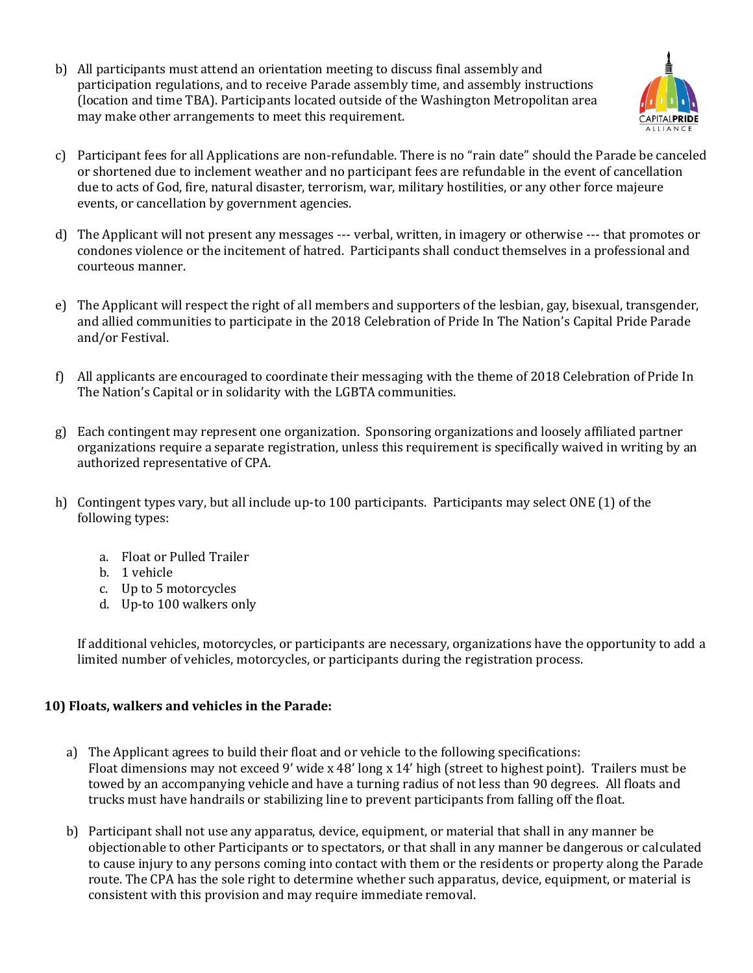b) All participants must attend an orientation meeting to discuss final assembly and participation regulations, and to receive Parade assembly time, and assembly instructions (location and time TBA). Participants located outside of the Washington Metropolitan area may make other arrangements to meet this requirement.



- c) Participant fees for all Applications are non-refundable. There is no "rain date" should the Parade be canceled or shortened due to inclement weather and no participant fees are refundable in the event of cancellation due to acts of God, fire, natural disaster, terrorism, war, military hostilities, or any other force majeure events, or cancellation by government agencies.
- d) The Applicant will not present any messages --- verbal, written, in imagery or otherwise --- that promotes or condones violence or the incitement of hatred. Participants shall conduct themselves in a professional and courteous manner.
- e) The Applicant will respect the right of all members and supporters of the lesbian, gay, bisexual, transgender, and allied communities to participate in the 2018 Celebration of Pride In The Nation's Capital Pride Parade and/or Festival.
- f) All applicants are encouraged to coordinate their messaging with the theme of 2018 Celebration of Pride In The Nation's Capital or in solidarity with the LGBTA communities.
- g) Each contingent may represent one organization. Sponsoring organizations and loosely affiliated partner organizations require a separate registration, unless this requirement is specifically waived in writing by an authorized representative of CPA.
- h) Contingent types vary, but all include up-to 100 participants. Participants may select ONE (1) of the following types:
	- a. Float or Pulled Trailer
	- b. 1 vehicle
	- c. Up to 5 motorcycles
	- d. Up-to 100 walkers only

If additional vehicles, motorcycles, or participants are necessary, organizations have the opportunity to add a limited number of vehicles, motorcycles, or participants during the registration process.

# **10) Floats, walkers and vehicles in the Parade:**

- a) The Applicant agrees to build their float and or vehicle to the following specifications: Float dimensions may not exceed 9' wide x 48' long x 14' high (street to highest point). Trailers must be towed by an accompanying vehicle and have a turning radius of not less than 90 degrees. All floats and trucks must have handrails or stabilizing line to prevent participants from falling off the float.
- b) Participant shall not use any apparatus, device, equipment, or material that shall in any manner be objectionable to other Participants or to spectators, or that shall in any manner be dangerous or calculated to cause injury to any persons coming into contact with them or the residents or property along the Parade route. The CPA has the sole right to determine whether such apparatus, device, equipment, or material is consistent with this provision and may require immediate removal.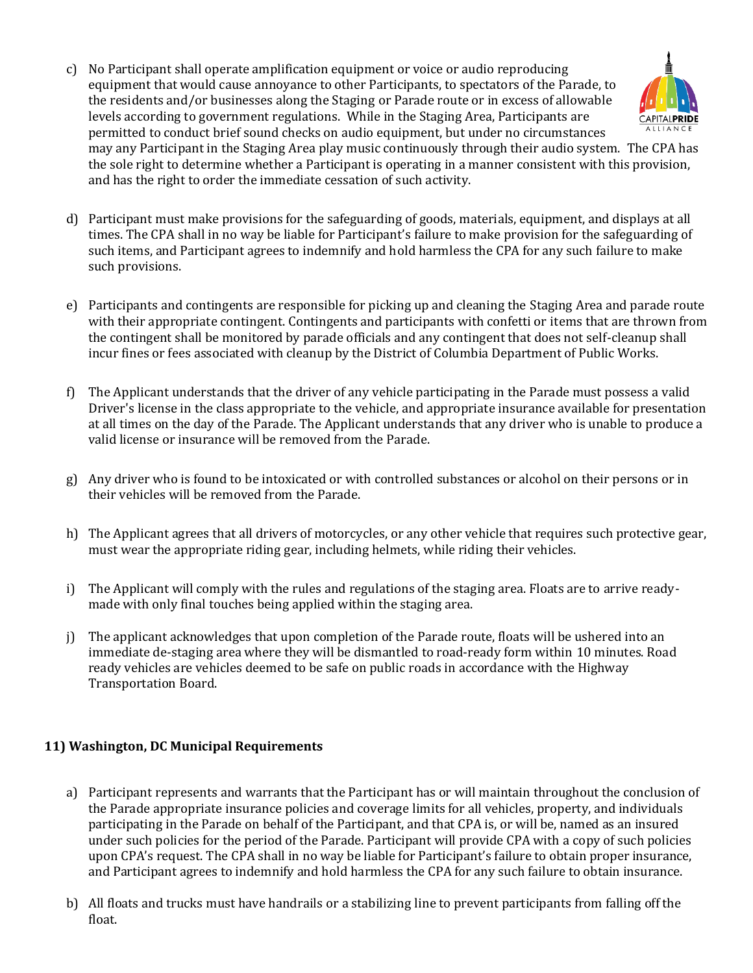c) No Participant shall operate amplification equipment or voice or audio reproducing equipment that would cause annoyance to other Participants, to spectators of the Parade, to the residents and/or businesses along the Staging or Parade route or in excess of allowable levels according to government regulations. While in the Staging Area, Participants are permitted to conduct brief sound checks on audio equipment, but under no circumstances may any Participant in the Staging Area play music continuously through their audio system. The CPA has the sole right to determine whether a Participant is operating in a manner consistent with this provision, and has the right to order the immediate cessation of such activity.



d) Participant must make provisions for the safeguarding of goods, materials, equipment, and displays at all times. The CPA shall in no way be liable for Participant's failure to make provision for the safeguarding of such items, and Participant agrees to indemnify and hold harmless the CPA for any such failure to make such provisions.

- e) Participants and contingents are responsible for picking up and cleaning the Staging Area and parade route with their appropriate contingent. Contingents and participants with confetti or items that are thrown from the contingent shall be monitored by parade officials and any contingent that does not self-cleanup shall incur fines or fees associated with cleanup by the District of Columbia Department of Public Works.
- f) The Applicant understands that the driver of any vehicle participating in the Parade must possess a valid Driver's license in the class appropriate to the vehicle, and appropriate insurance available for presentation at all times on the day of the Parade. The Applicant understands that any driver who is unable to produce a valid license or insurance will be removed from the Parade.
- g) Any driver who is found to be intoxicated or with controlled substances or alcohol on their persons or in their vehicles will be removed from the Parade.
- h) The Applicant agrees that all drivers of motorcycles, or any other vehicle that requires such protective gear, must wear the appropriate riding gear, including helmets, while riding their vehicles.
- i) The Applicant will comply with the rules and regulations of the staging area. Floats are to arrive readymade with only final touches being applied within the staging area.
- j) The applicant acknowledges that upon completion of the Parade route, floats will be ushered into an immediate de-staging area where they will be dismantled to road-ready form within 10 minutes. Road ready vehicles are vehicles deemed to be safe on public roads in accordance with the Highway Transportation Board.

# **11) Washington, DC Municipal Requirements**

- a) Participant represents and warrants that the Participant has or will maintain throughout the conclusion of the Parade appropriate insurance policies and coverage limits for all vehicles, property, and individuals participating in the Parade on behalf of the Participant, and that CPA is, or will be, named as an insured under such policies for the period of the Parade. Participant will provide CPA with a copy of such policies upon CPA's request. The CPA shall in no way be liable for Participant's failure to obtain proper insurance, and Participant agrees to indemnify and hold harmless the CPA for any such failure to obtain insurance.
- b) All floats and trucks must have handrails or a stabilizing line to prevent participants from falling off the float.